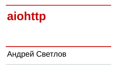# **aiohttp**

## Андрей Светлов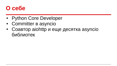#### **О себе**

- Python Core Developer
- Committer в asyncio
- $\cdot$  Соавтор aiohttp и еще десятка asyncio библиотек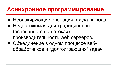#### **Асинхронное программирование**

- Неблокирующие операции ввода-вывода
- Недостижимая для традиционного (основанного на потоках) производительность web серверов.
- Объединение в одном процессе вебобработчиков и "долгоиграющих" задач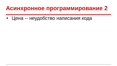#### **Асинхронное программирование 2**

• Цена -- неудобство написания кода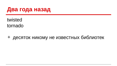#### **Два года назад**

twisted tornado

+ десяток никому не известных библиотек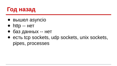

- вышел asyncio
- http -- нет
- баз данных -- нет
- есть tcp sockets, udp sockets, unix sockets, pipes, processes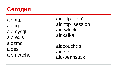

aiohttp aiopg aiomysql aioredis aiozmq aioes aiomcache aiohttp\_jinja2 aiohttp session aiorwlock aiokafka

aiocouchdb aio-s3 aio-beanstalk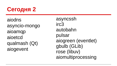## **Сегодня 2**

aiodns asyncio-mongo aioamqp aioetcd qualmash (Qt) aiogevent

asyncssh irc3 autobahn pulsar aiogreen (eventlet) gbulb (GLib) rose (libuv) aiomultiprocessing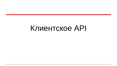## Клиентское API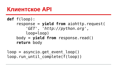#### **Клиентское API**

#### **def** f(loop): response = **yield from** aiohttp.request( *'GET'*, *'[http://python.org](http://python.org/)'* , loop=loop) body = **yield from** response.read() **return** body

loop = asyncio.get\_event\_loop() loop.run until complete(f(loop))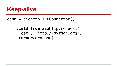#### **Keep-alive**

#### conn = aiohttp.TCPConnector()

r = **yield from** aiohttp.request( *'get'*, *'http://python.org'*, *connector*=conn)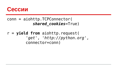

#### conn = aiohttp.TCPConnector( *shared\_cookies*=True)

#### r = **yield from** aiohttp.request( *'get'*, *'[http://python.org](http://python.org/)'* , connector=conn)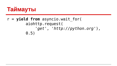

#### r = **yield from** asyncio.wait\_for( aiohttp.request( *'get'*, *'[http://python.org](http://python.org/)'*), 0.5)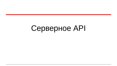## Серверное API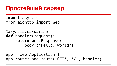### **Простейший сервер**

**import** asyncio **from** aiohttp **import** web

*@asyncio.coroutine* **def** handler(request): **return** web.Response( body=b"Hello, world")

 $app = webApplication()$ app.router.add route('GET', '/', handler)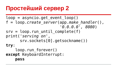### **Простейший сервер 2**

 $loop =$  asyncio.get event  $loop()$ f = loop.*create\_server*(app.*make\_handler*(), *'0.0.0.0', 8080*)  $srv = loop.run until complete(f)$ print(*'serving on'*, srv.sockets[0].getsockname()) **try**: loop.run forever() **except** KeyboardInterrupt: **pass**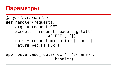#### **Параметры**

```
@asyncio.coroutine
def handler(request):
     args = request.GET
     accepts = request.headers.getall(
                   'ACCEPT', [])
    name = request.match info['name']
     return web.HTTPOk()
```
app.router.add\_route('GET', '/{name}', handler)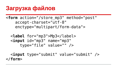#### **Загрузка файлов**

<**form** action="/store\_mp3" method="post" accept-charset="utf-8" enctype="multipart/form-data">

 <**label** for="mp3">Mp3</label> <**input** id="mp3" name="mp3" type="file" value="" />

 <**input** type="submit" value="submit" /> </**form**>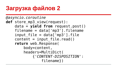## **Загрузка файлов 2**

```
@asyncio.coroutine
def store_mp3_view(request):
     data = yield from request.post()
     filename = data['mp3'].filename
    input file = data['mp3'].file
    content = input file.read() return web.Response(
         body=content,
         headers=MultiDict(
             {'CONTENT-DISPOSITION':
                  filename})
```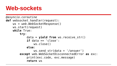#### **Web-sockets**

```
@asyncio.coroutine
def websocket_handler(request):
     ws = web.WebSocketResponse()
     ws.start(request)
     while True:
         try:
             data = yield from ws.receive_str()
            if data == 'close': ws.close()
             else:
                  ws.send_str(data + '/answer')
         except web.WebSocketDisconnectedError as exc:
             print(exc.code, exc.message)
              return ws
```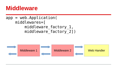#### **Middleware**

#### $app = webApplication($  middlewares=[ middleware factory 1, middleware factory 2])

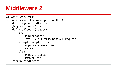### **Middleware 2**

```
@asyncio.coroutine
def middleware_factory(app, handler):
     # configure middleware
     @asyncio.coroutine
     def middleware(request):
         try:
              # preprocess
              ret = yield from handler(request)
         except Exception as exc:
             # process exception
              raise
         else:
              # postprocess
              return ret
     return middleware
```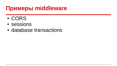#### **Примеры middleware**

- CORS
- sessions
- database transactions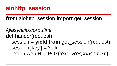**aiohttp\_session**

**from** aiohttp session **import** get session

*@asyncio.coroutine* **def** hander(request): session = **yield from** get\_session(request) session['key'] = 'value' return web.HTTPOk(text=*'Response text'*)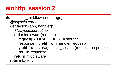## **aiohttp\_session 2**

**def** session\_middleware(storage):  *@asyncio.coroutine* **def** factory(app, handler): *@asyncio.coroutine* **def** middleware(request): request[STORAGE\_KEY] = storage response = **yield from** handler(request) **yield from** storage.save session(request, response) **return** response **return** middleware **return** factory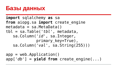#### **Базы данных**

```
import sqlalchemy as sa
from aiopg.sa import create_engine
metadata = sa.MetaData()
tbl = sa.Table('tbl', metadata,
    sa.Column('id', sa.Integer,
             primary key=True),
    sa.Column('val', sa.String(255)))
```
 $app = webApplication()$  $app['db'] = yield from create engine(...)$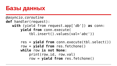#### **Базы данных**

```
@asyncio.coroutine
def handler(request):
    with (yield from request.app['db']) as conn:
        yield from conn.execute(
            tbl.insert().values(val='abc'))
```

```
 res = yield from conn.execute(tbl.select())
 row = yield from res.fetchone()
 while row is not None:
     print(row.id, row.val)
     row = yield from res.fetchone()
```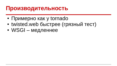#### **Производительность**

- Примерно как у tornado
- twisted.web быстрее (грязный тест)
- WSGI медленнее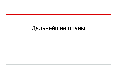### Дальнейшие планы